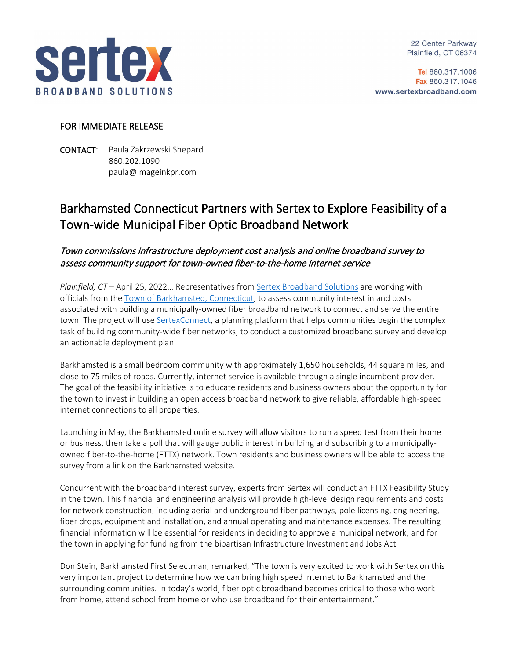

22 Center Parkway Plainfield, CT 06374

Tel 860.317.1006 Fax 860.317.1046 www.sertexbroadband.com

## FOR IMMEDIATE RELEASE

CONTACT: Paula Zakrzewski Shepard 860.202.1090 paula@imageinkpr.com

## Barkhamsted Connecticut Partners with Sertex to Explore Feasibility of a Town-wide Municipal Fiber Optic Broadband Network

## Town commissions infrastructure deployment cost analysis and online broadband survey to assess community support for town-owned fiber-to-the-home Internet service

*Plainfield, CT* – April 25, 2022… Representatives from [Sertex Broadband Solutions](http://www.sertexbroadband.com/) are working with officials from the Town of [Barkhamsted, Connecticut,](https://www.barkhamsted.us/) to assess community interest in and costs associated with building a municipally-owned fiber broadband network to connect and serve the entire town. The project will use [SertexConnect,](https://www.sertexbroadband.com/sertexconnect/) a planning platform that helps communities begin the complex task of building community-wide fiber networks, to conduct a customized broadband survey and develop an actionable deployment plan.

Barkhamsted is a small bedroom community with approximately 1,650 households, 44 square miles, and close to 75 miles of roads. Currently, internet service is available through a single incumbent provider. The goal of the feasibility initiative is to educate residents and business owners about the opportunity for the town to invest in building an open access broadband network to give reliable, affordable high-speed internet connections to all properties.

Launching in May, the Barkhamsted online survey will allow visitors to run a speed test from their home or business, then take a poll that will gauge public interest in building and subscribing to a municipallyowned fiber-to-the-home (FTTX) network. Town residents and business owners will be able to access the survey from a link on the Barkhamsted website.

Concurrent with the broadband interest survey, experts from Sertex will conduct an FTTX Feasibility Study in the town. This financial and engineering analysis will provide high-level design requirements and costs for network construction, including aerial and underground fiber pathways, pole licensing, engineering, fiber drops, equipment and installation, and annual operating and maintenance expenses. The resulting financial information will be essential for residents in deciding to approve a municipal network, and for the town in applying for funding from the bipartisan Infrastructure Investment and Jobs Act.

Don Stein, Barkhamsted First Selectman, remarked, "The town is very excited to work with Sertex on this very important project to determine how we can bring high speed internet to Barkhamsted and the surrounding communities. In today's world, fiber optic broadband becomes critical to those who work from home, attend school from home or who use broadband for their entertainment."